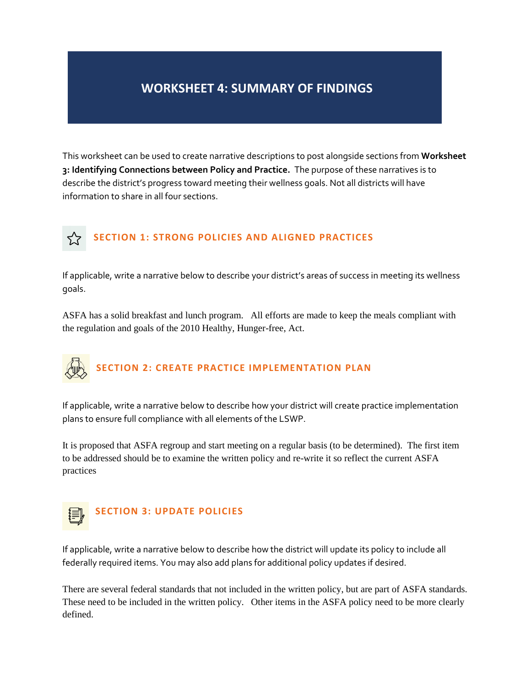## **WORKSHEET 4: SUMMARY OF FINDINGS**

This worksheet can be used to create narrative descriptions to post alongside sections from **Worksheet 3: Identifying Connections between Policy and Practice.** The purpose of these narratives is to describe the district's progress toward meeting their wellness goals. Not all districts will have information to share in all four sections.

## **SECTION 1: STRONG POLICIES AND ALIGNED PRACTICES**

If applicable, write a narrative below to describe your district's areas of success in meeting its wellness goals.

ASFA has a solid breakfast and lunch program. All efforts are made to keep the meals compliant with the regulation and goals of the 2010 Healthy, Hunger-free, Act.

## **SECTION 2: CREATE PRACTICE IMPLEMENTATION PLAN**

If applicable, write a narrative below to describe how your district will create practice implementation plans to ensure full compliance with all elements of the LSWP.

It is proposed that ASFA regroup and start meeting on a regular basis (to be determined). The first item to be addressed should be to examine the written policy and re-write it so reflect the current ASFA practices



## **SECTION 3: UPDATE POLICIES**

If applicable, write a narrative below to describe how the district will update its policy to include all federally required items. You may also add plans for additional policy updates if desired.

There are several federal standards that not included in the written policy, but are part of ASFA standards. These need to be included in the written policy. Other items in the ASFA policy need to be more clearly defined.